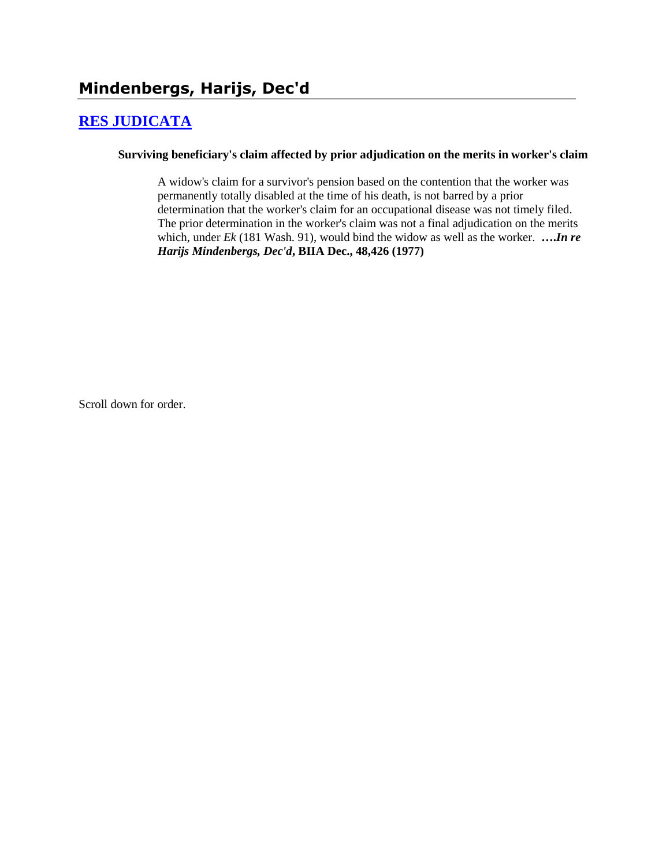# **[RES JUDICATA](http://www.biia.wa.gov/SDSubjectIndex.html#RES_JUDICATA)**

#### **Surviving beneficiary's claim affected by prior adjudication on the merits in worker's claim**

A widow's claim for a survivor's pension based on the contention that the worker was permanently totally disabled at the time of his death, is not barred by a prior determination that the worker's claim for an occupational disease was not timely filed. The prior determination in the worker's claim was not a final adjudication on the merits which, under *Ek* (181 Wash. 91), would bind the widow as well as the worker. **….***In re Harijs Mindenbergs, Dec'd***, BIIA Dec., 48,426 (1977)** 

Scroll down for order.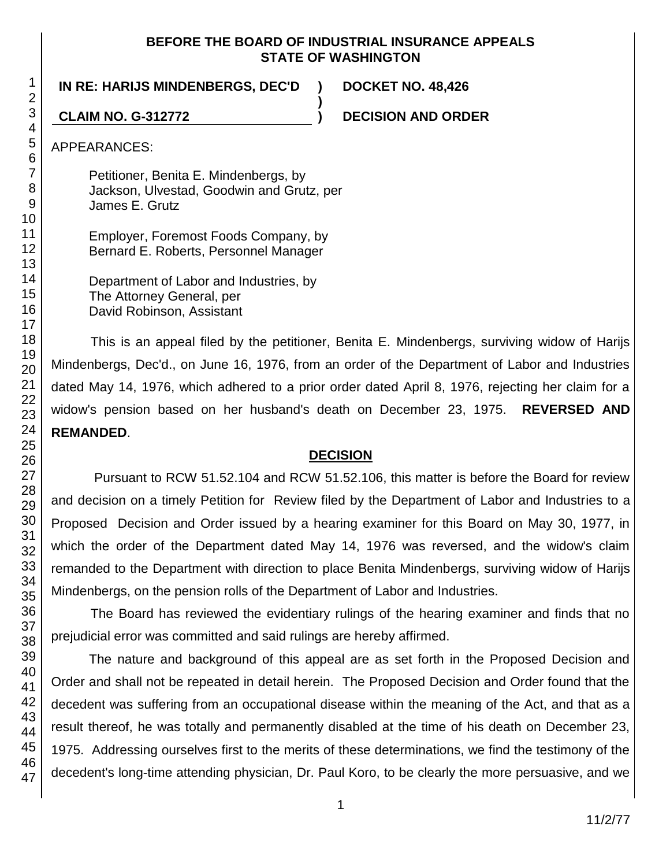### **BEFORE THE BOARD OF INDUSTRIAL INSURANCE APPEALS STATE OF WASHINGTON**

**)**

**IN RE: HARIJS MINDENBERGS, DEC'D ) DOCKET NO. 48,426**

**CLAIM NO. G-312772 ) DECISION AND ORDER**

APPEARANCES:

Petitioner, Benita E. Mindenbergs, by Jackson, Ulvestad, Goodwin and Grutz, per James E. Grutz

Employer, Foremost Foods Company, by Bernard E. Roberts, Personnel Manager

Department of Labor and Industries, by The Attorney General, per David Robinson, Assistant

This is an appeal filed by the petitioner, Benita E. Mindenbergs, surviving widow of Harijs Mindenbergs, Dec'd., on June 16, 1976, from an order of the Department of Labor and Industries dated May 14, 1976, which adhered to a prior order dated April 8, 1976, rejecting her claim for a widow's pension based on her husband's death on December 23, 1975. **REVERSED AND REMANDED**.

## **DECISION**

Pursuant to RCW 51.52.104 and RCW 51.52.106, this matter is before the Board for review and decision on a timely Petition for Review filed by the Department of Labor and Industries to a Proposed Decision and Order issued by a hearing examiner for this Board on May 30, 1977, in which the order of the Department dated May 14, 1976 was reversed, and the widow's claim remanded to the Department with direction to place Benita Mindenbergs, surviving widow of Harijs Mindenbergs, on the pension rolls of the Department of Labor and Industries.

The Board has reviewed the evidentiary rulings of the hearing examiner and finds that no prejudicial error was committed and said rulings are hereby affirmed.

The nature and background of this appeal are as set forth in the Proposed Decision and Order and shall not be repeated in detail herein. The Proposed Decision and Order found that the decedent was suffering from an occupational disease within the meaning of the Act, and that as a result thereof, he was totally and permanently disabled at the time of his death on December 23, 1975. Addressing ourselves first to the merits of these determinations, we find the testimony of the decedent's long-time attending physician, Dr. Paul Koro, to be clearly the more persuasive, and we

1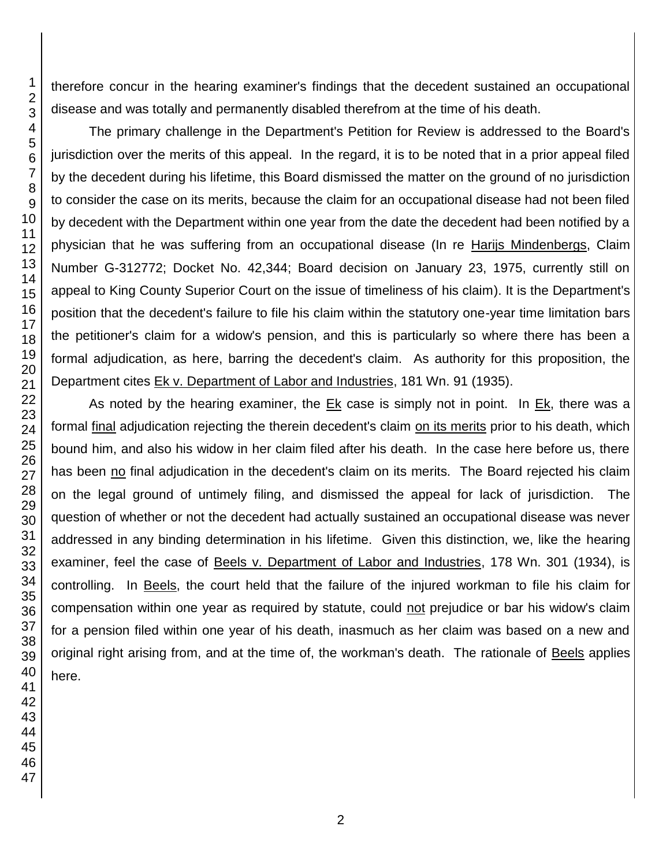therefore concur in the hearing examiner's findings that the decedent sustained an occupational disease and was totally and permanently disabled therefrom at the time of his death.

The primary challenge in the Department's Petition for Review is addressed to the Board's jurisdiction over the merits of this appeal. In the regard, it is to be noted that in a prior appeal filed by the decedent during his lifetime, this Board dismissed the matter on the ground of no jurisdiction to consider the case on its merits, because the claim for an occupational disease had not been filed by decedent with the Department within one year from the date the decedent had been notified by a physician that he was suffering from an occupational disease (In re Harijs Mindenbergs, Claim Number G-312772; Docket No. 42,344; Board decision on January 23, 1975, currently still on appeal to King County Superior Court on the issue of timeliness of his claim). It is the Department's position that the decedent's failure to file his claim within the statutory one-year time limitation bars the petitioner's claim for a widow's pension, and this is particularly so where there has been a formal adjudication, as here, barring the decedent's claim. As authority for this proposition, the Department cites Ek v. Department of Labor and Industries, 181 Wn. 91 (1935).

As noted by the hearing examiner, the Ek case is simply not in point. In Ek, there was a formal *final* adjudication rejecting the therein decedent's claim on its merits prior to his death, which bound him, and also his widow in her claim filed after his death. In the case here before us, there has been no final adjudication in the decedent's claim on its merits. The Board rejected his claim on the legal ground of untimely filing, and dismissed the appeal for lack of jurisdiction. The question of whether or not the decedent had actually sustained an occupational disease was never addressed in any binding determination in his lifetime. Given this distinction, we, like the hearing examiner, feel the case of Beels v. Department of Labor and Industries, 178 Wn. 301 (1934), is controlling. In Beels, the court held that the failure of the injured workman to file his claim for compensation within one year as required by statute, could not prejudice or bar his widow's claim for a pension filed within one year of his death, inasmuch as her claim was based on a new and original right arising from, and at the time of, the workman's death. The rationale of Beels applies here.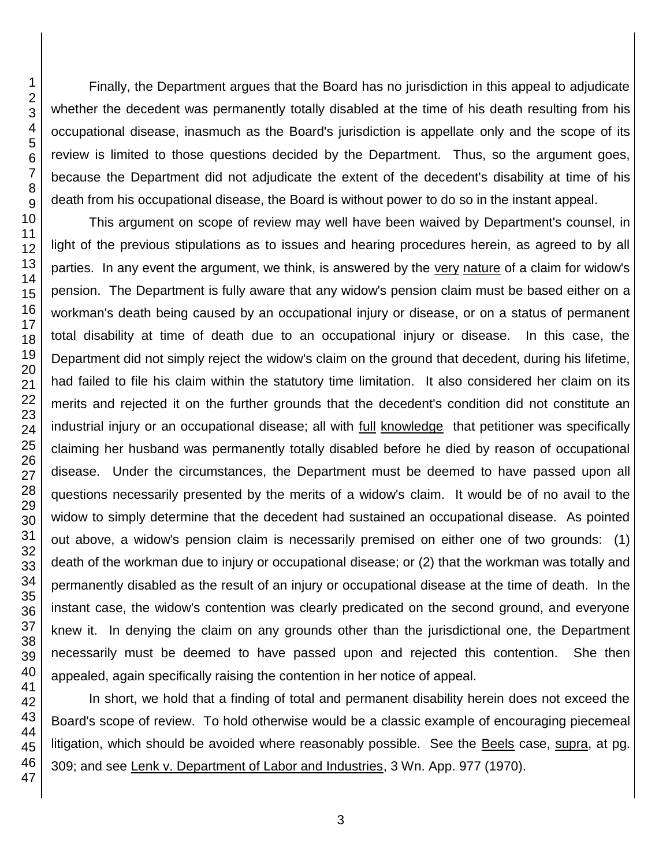Finally, the Department argues that the Board has no jurisdiction in this appeal to adjudicate whether the decedent was permanently totally disabled at the time of his death resulting from his occupational disease, inasmuch as the Board's jurisdiction is appellate only and the scope of its review is limited to those questions decided by the Department. Thus, so the argument goes, because the Department did not adjudicate the extent of the decedent's disability at time of his death from his occupational disease, the Board is without power to do so in the instant appeal.

This argument on scope of review may well have been waived by Department's counsel, in light of the previous stipulations as to issues and hearing procedures herein, as agreed to by all parties. In any event the argument, we think, is answered by the very nature of a claim for widow's pension. The Department is fully aware that any widow's pension claim must be based either on a workman's death being caused by an occupational injury or disease, or on a status of permanent total disability at time of death due to an occupational injury or disease. In this case, the Department did not simply reject the widow's claim on the ground that decedent, during his lifetime, had failed to file his claim within the statutory time limitation. It also considered her claim on its merits and rejected it on the further grounds that the decedent's condition did not constitute an industrial injury or an occupational disease; all with full knowledge that petitioner was specifically claiming her husband was permanently totally disabled before he died by reason of occupational disease. Under the circumstances, the Department must be deemed to have passed upon all questions necessarily presented by the merits of a widow's claim. It would be of no avail to the widow to simply determine that the decedent had sustained an occupational disease. As pointed out above, a widow's pension claim is necessarily premised on either one of two grounds: (1) death of the workman due to injury or occupational disease; or (2) that the workman was totally and permanently disabled as the result of an injury or occupational disease at the time of death. In the instant case, the widow's contention was clearly predicated on the second ground, and everyone knew it. In denying the claim on any grounds other than the jurisdictional one, the Department necessarily must be deemed to have passed upon and rejected this contention. She then appealed, again specifically raising the contention in her notice of appeal.

In short, we hold that a finding of total and permanent disability herein does not exceed the Board's scope of review. To hold otherwise would be a classic example of encouraging piecemeal litigation, which should be avoided where reasonably possible. See the Beels case, supra, at pg. 309; and see Lenk v. Department of Labor and Industries, 3 Wn. App. 977 (1970).